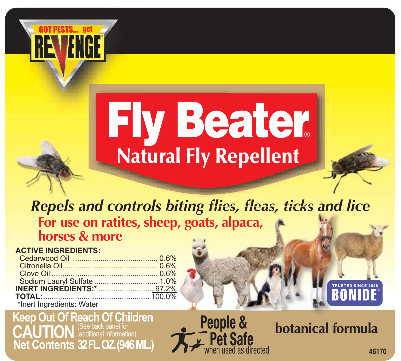

## **Fly Beater Natural Fly Repellent**

# *Repels and controls biting flies, fleas, ticks and lice a , ticks and***For use on ratites, sheep, goats, alpaca, s,** al Fly Repellent<br>biting flies, fleas, ticks<br>ep, goats, alpaca,

## **ACTIVE INGREDIENTS:**

| <b>INERT INGREDIENTS:*</b> 97.2% |
|----------------------------------|
|                                  |
|                                  |
|                                  |

## **Keep Out Of Reach Of Children CAUTION** (See back panel for **Net Contents 32 FL. OZ. (946 ML.)**

**People & Pet Safe** when used as directed

## **botanical formula**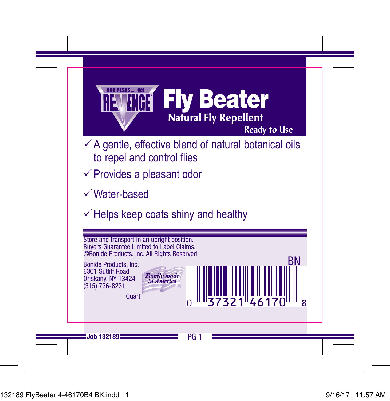

- $\checkmark$  A gentle, effective blend of natural botanical oils to repel and control flies
- $\checkmark$  Provides a pleasant odor
- $\checkmark$  Water-based
- $\checkmark$  Helps keep coats shiny and healthy

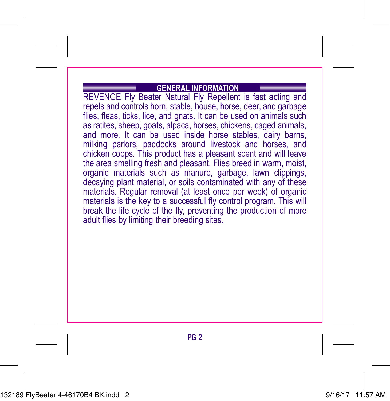#### **GENERAL INFORMATION**

REVENGE Fly Beater Natural Fly Repellent is fast acting and repels and controls horn, stable, house, horse, deer, and garbage flies, fleas, ticks, lice, and gnats. It can be used on animals such as ratites, sheep, goats, alpaca, horses, chickens, caged animals, and more. It can be used inside horse stables, dairy barns, milking parlors, paddocks around livestock and horses, and chicken coops. This product has a pleasant scent and will leave the area smelling fresh and pleasant. Flies breed in warm, moist, organic materials such as manure, garbage, lawn clippings, decaying plant material, or soils contaminated with any of these materials. Regular removal (at least once per week) of organic materials is the key to a successful fly control program. This will break the life cycle of the fly, preventing the production of more adult flies by limiting their breeding sites.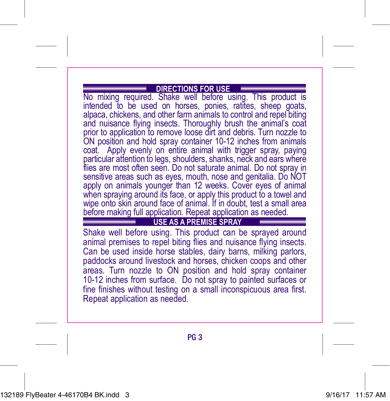### **DIRECTIONS FOR USE**

No mixing required. Shake well before using. This product is intended to be used on horses, ponies, ratites, sheep goats, alpaca, chickens, and other farm animals to control and repel biting and nuisance flying insects. Thoroughly brush the animal's coat prior to application to remove loose dirt and debris. Turn nozzle to ON position and hold spray container 10-12 inches from animals coat. Apply evenly on entire animal with trigger spray, paying particular attention to legs, shoulders, shanks, neck and ears where flies are most often seen. Do not saturate animal. Do not spray in sensitive areas such as eyes, mouth, nose and genitalia. Do NOT apply on animals younger than 12 weeks. Cover eyes of animal when spraying around its face, or apply this product to a towel and wipe onto skin around face of animal. If in doubt, test a small area before making full application. Repeat application as needed.

**USE AS A PREMISE SPRAY**

Shake well before using. This product can be sprayed around animal premises to repel biting flies and nuisance flying insects. Can be used inside horse stables, dairy barns, milking parlors, paddocks around livestock and horses, chicken coops and other areas. Turn nozzle to ON position and hold spray container 10-12 inches from surface. Do not spray to painted surfaces or fine finishes without testing on a small inconspicuous area first. Repeat application as needed.